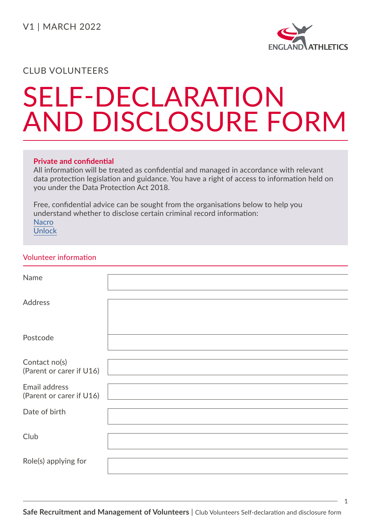

## SELF-DECLARATION AND DISCLOSURE FORM

### **Private and confidential**

All information will be treated as confidential and managed in accordance with relevant data protection legislation and guidance. You have a right of access to information held on you under the Data Protection Act 2018.

Free, confidential advice can be sought from the organisations below to help you understand whether to disclose certain criminal record information: [Nacro](https://www.nacro.org.uk/) [Unlock](https://unlock.org.uk/)

### Volunteer information

| Name                                      |  |
|-------------------------------------------|--|
| <b>Address</b>                            |  |
| Postcode                                  |  |
| Contact no(s)<br>(Parent or carer if U16) |  |
| Email address<br>(Parent or carer if U16) |  |
| Date of birth                             |  |
| Club                                      |  |
| Role(s) applying for                      |  |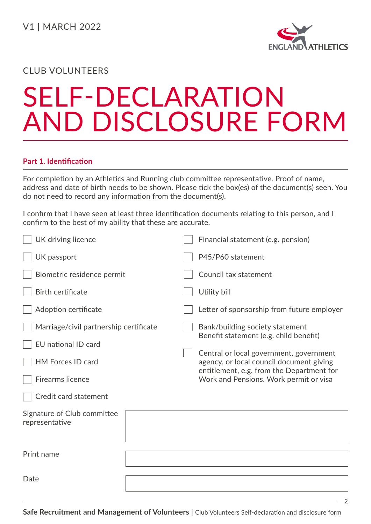

2

## CLUB VOLUNTEERS

# SELF-DECLARATION AND DISCLOSURE FORM

### **Part 1. Identification**

For completion by an Athletics and Running club committee representative. Proof of name, address and date of birth needs to be shown. Please tick the box(es) of the document(s) seen. You do not need to record any information from the document(s).

I confirm that I have seen at least three identification documents relating to this person, and I confirm to the best of my ability that these are accurate.

| UK driving licence                            |  | Financial statement (e.g. pension)                                                                                               |
|-----------------------------------------------|--|----------------------------------------------------------------------------------------------------------------------------------|
| UK passport                                   |  | P45/P60 statement                                                                                                                |
| Biometric residence permit                    |  | Council tax statement                                                                                                            |
| Birth certificate                             |  | Utility bill                                                                                                                     |
| Adoption certificate                          |  | Letter of sponsorship from future employer                                                                                       |
| Marriage/civil partnership certificate        |  | Bank/building society statement<br>Benefit statement (e.g. child benefit)                                                        |
| <b>EU</b> national ID card                    |  |                                                                                                                                  |
| <b>HM Forces ID card</b>                      |  | Central or local government, government<br>agency, or local council document giving<br>entitlement, e.g. from the Department for |
| <b>Firearms licence</b>                       |  | Work and Pensions. Work permit or visa                                                                                           |
| Credit card statement                         |  |                                                                                                                                  |
| Signature of Club committee<br>representative |  |                                                                                                                                  |
|                                               |  |                                                                                                                                  |
| Print name                                    |  |                                                                                                                                  |
|                                               |  |                                                                                                                                  |
| Date                                          |  |                                                                                                                                  |
|                                               |  |                                                                                                                                  |

**Safe Recruitment and Management of Volunteers** | Club Volunteers Self-declaration and disclosure form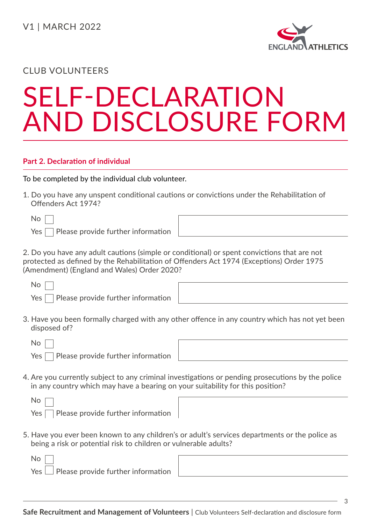

## SELF-DECLARATION AND DISCLOSURE FORM

### **Part 2. Declaration of individual**

To be completed by the individual club volunteer.

1. Do you have any unspent conditional cautions or convictions under the Rehabilitation of Offenders Act 1974?

No

 $Yes \frown$  Please provide further information

2. Do you have any adult cautions (simple or conditional) or spent convictions that are not protected as defined by the Rehabilitation of Offenders Act 1974 (Exceptions) Order 1975 (Amendment) (England and Wales) Order 2020?

No

 $Yes \Box$  Please provide further information

3. Have you been formally charged with any other offence in any country which has not yet been disposed of?

| ٠ |  |
|---|--|
|---|--|

 $No$ 

 $Yes \fceil$  Please provide further information

4. Are you currently subject to any criminal investigations or pending prosecutions by the police in any country which may have a bearing on your suitability for this position?



| ,我们也不会有什么?""我们的人,我们也不会有什么?""我们的人,我们也不会有什么?""我们的人,我们也不会有什么?""我们的人,我们也不会有什么?""我们的人 |  |  |
|----------------------------------------------------------------------------------|--|--|
|                                                                                  |  |  |

5. Have you ever been known to any children's or adult's services departments or the police as being a risk or potential risk to children or vulnerable adults?

|  |  | Yes $\Box$ Please provide further information |  |
|--|--|-----------------------------------------------|--|
|  |  |                                               |  |

3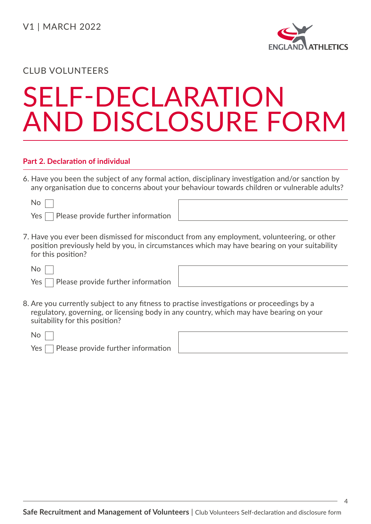

## SELF-DECLARATION AND DISCLOSURE FORM

#### **Part 2. Declaration of individual**

6. Have you been the subject of any formal action, disciplinary investigation and/or sanction by any organisation due to concerns about your behaviour towards children or vulnerable adults?

 $Yes \frown$  Please provide further information

7. Have you ever been dismissed for misconduct from any employment, volunteering, or other position previously held by you, in circumstances which may have bearing on your suitability for this position?

No

 $Yes \Box$  Please provide further information

8. Are you currently subject to any fitness to practise investigations or proceedings by a regulatory, governing, or licensing body in any country, which may have bearing on your suitability for this position?

| $No \ \Box$ |                                                 |
|-------------|-------------------------------------------------|
|             | $Yes \frown$ Please provide further information |

4